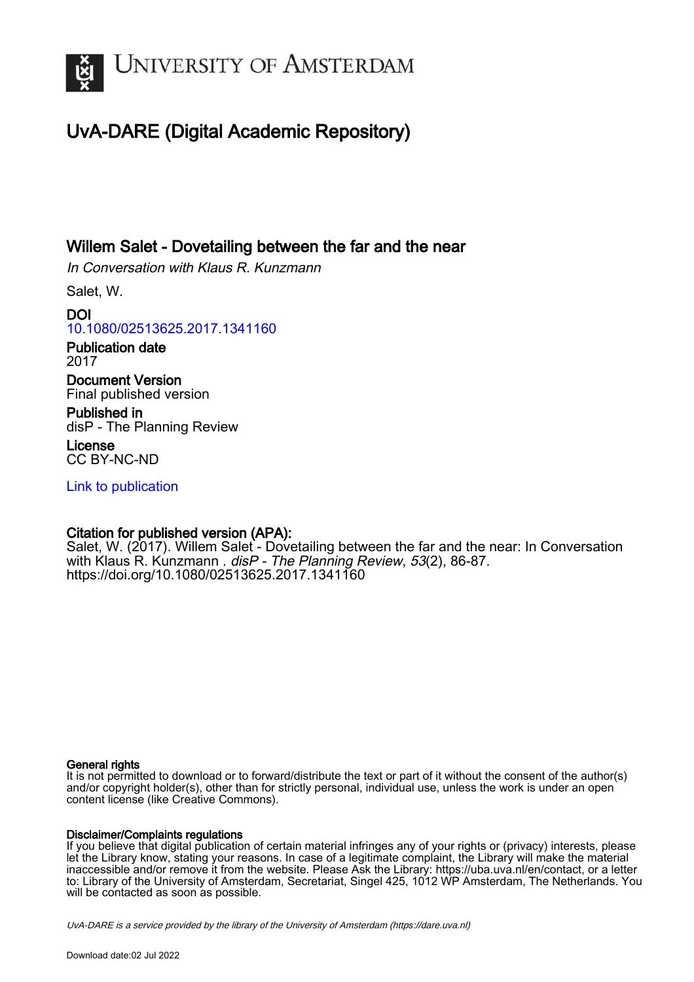

## UvA-DARE (Digital Academic Repository)

## Willem Salet - Dovetailing between the far and the near

In Conversation with Klaus R. Kunzmann

Salet, W.

DOI [10.1080/02513625.2017.1341160](https://doi.org/10.1080/02513625.2017.1341160)

Publication date 2017

Document Version Final published version

Published in disP - The Planning Review

License CC BY-NC-ND

[Link to publication](https://dare.uva.nl/personal/pure/en/publications/willem-salet--dovetailing-between-the-far-and-the-near(01db0d68-fa45-4f3a-a4d2-13815f6d2b12).html)

### Citation for published version (APA):

Salet, W. (2017). Willem Salet - Dovetailing between the far and the near: In Conversation with Klaus R. Kunzmann . disP - The Planning Review, 53(2), 86-87. <https://doi.org/10.1080/02513625.2017.1341160>

#### General rights

It is not permitted to download or to forward/distribute the text or part of it without the consent of the author(s) and/or copyright holder(s), other than for strictly personal, individual use, unless the work is under an open content license (like Creative Commons).

#### Disclaimer/Complaints regulations

If you believe that digital publication of certain material infringes any of your rights or (privacy) interests, please let the Library know, stating your reasons. In case of a legitimate complaint, the Library will make the material inaccessible and/or remove it from the website. Please Ask the Library: https://uba.uva.nl/en/contact, or a letter to: Library of the University of Amsterdam, Secretariat, Singel 425, 1012 WP Amsterdam, The Netherlands. You will be contacted as soon as possible.

UvA-DARE is a service provided by the library of the University of Amsterdam (http*s*://dare.uva.nl)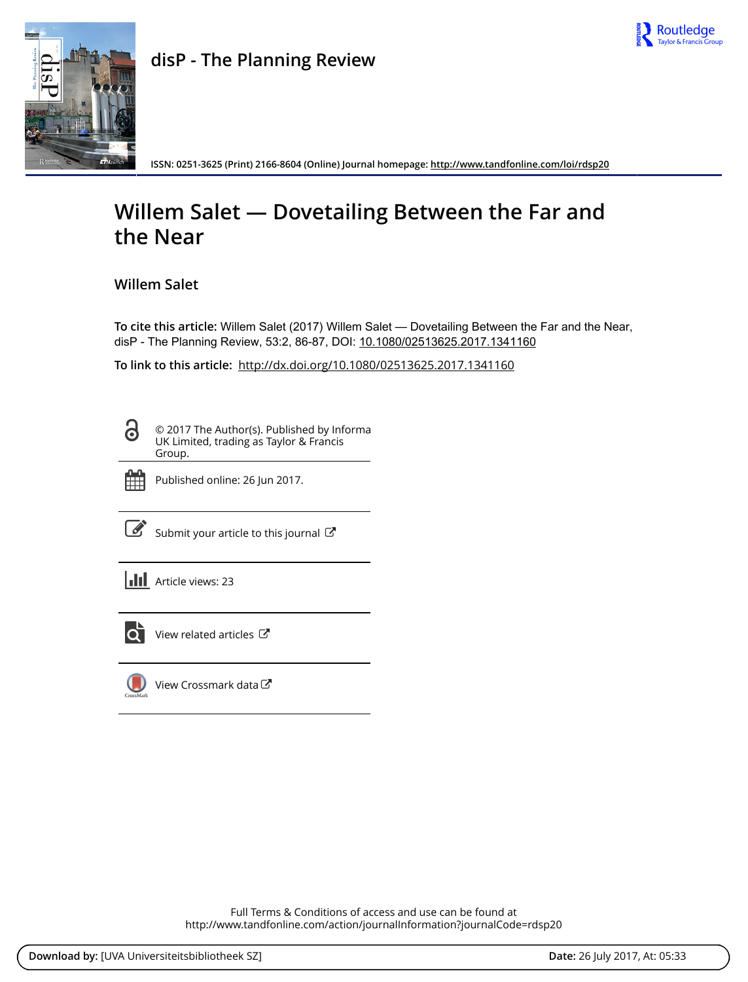



**ISSN: 0251-3625 (Print) 2166-8604 (Online) Journal homepage:<http://www.tandfonline.com/loi/rdsp20>**

# **Willem Salet — Dovetailing Between the Far and the Near**

**Willem Salet**

**To cite this article:** Willem Salet (2017) Willem Salet — Dovetailing Between the Far and the Near, disP - The Planning Review, 53:2, 86-87, DOI: [10.1080/02513625.2017.1341160](http://www.tandfonline.com/action/showCitFormats?doi=10.1080/02513625.2017.1341160)

**To link to this article:** <http://dx.doi.org/10.1080/02513625.2017.1341160>

© 2017 The Author(s). Published by Informa UK Limited, trading as Taylor & Francis Group.



႕

Published online: 26 Jun 2017.

[Submit your article to this journal](http://www.tandfonline.com/action/authorSubmission?journalCode=rdsp20&show=instructions)  $\mathbb{Z}^n$ 

**III** Article views: 23



[View related articles](http://www.tandfonline.com/doi/mlt/10.1080/02513625.2017.1341160) C



[View Crossmark data](http://crossmark.crossref.org/dialog/?doi=10.1080/02513625.2017.1341160&domain=pdf&date_stamp=2017-06-26)<sup>C</sup>

Full Terms & Conditions of access and use can be found at <http://www.tandfonline.com/action/journalInformation?journalCode=rdsp20>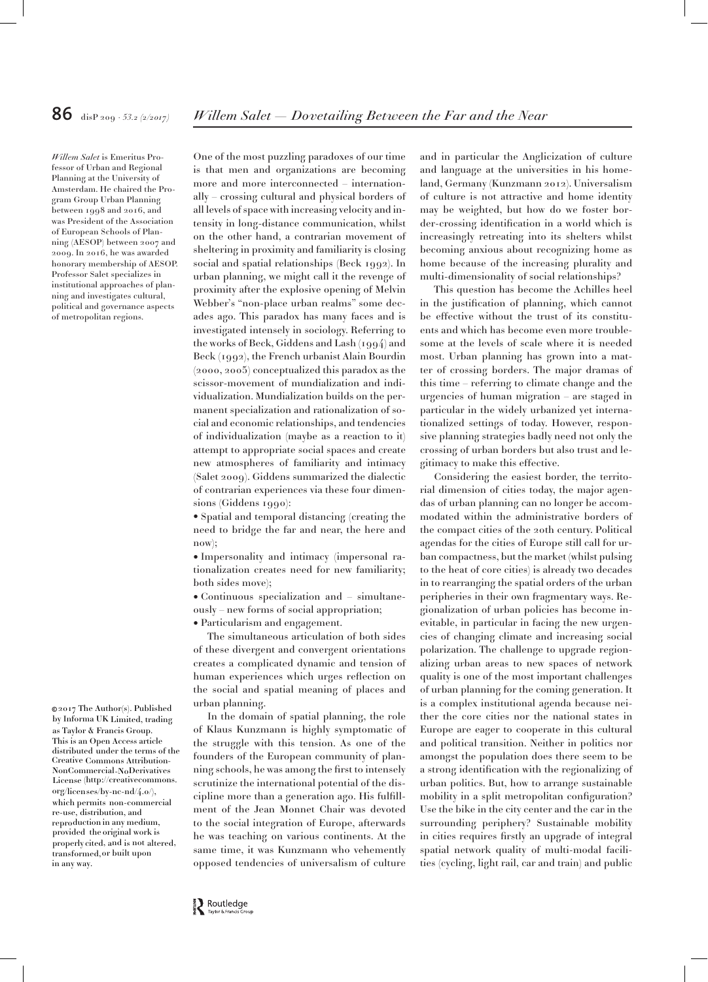*Willem Salet* is Emeritus Professor of Urban and Regional Planning at the University of Amsterdam. He chaired the Program Group Urban Planning between 1998 and 2016, and was President of the Association of European Schools of Planning (AESOP) between 2007 and 2009. In 2016, he was awarded honorary membership of AESOP. Professor Salet specializes in institutional approaches of planning and investigates cultural, political and governance aspects of metropolitan regions.

This is an Open Access article distributed under the terms of the Creative Commons Attribution - License (http://creativecommons. org/licenses/by-nc-nd/4.0/), which permits non-commercialre-use, distribution, and reproduction in any medium, provided the original work is properly cited, and is not altered, transformed,or built upon in any way. 2017 The Author(s). Published © by Informa UK Limited, trading as Taylor & Francis Group. NonCommercial-NoDerivatives

One of the most puzzling paradoxes of our time is that men and organizations are becoming more and more interconnected – internationally – crossing cultural and physical borders of all levels of space with increasing velocity and intensity in long-distance communication, whilst on the other hand, a contrarian movement of sheltering in proximity and familiarity is closing social and spatial relationships (Beck 1992). In urban planning, we might call it the revenge of proximity after the explosive opening of Melvin Webber's "non-place urban realms" some decades ago. This paradox has many faces and is investigated intensely in sociology. Referring to the works of Beck, Giddens and Lash (1994) and Beck (1992), the French urbanist Alain Bourdin (2000, 2005) conceptualized this paradox as the scissor-movement of mundialization and individualization. Mundialization builds on the permanent specialization and rationalization of social and economic relationships, and tendencies of individualization (maybe as a reaction to it) attempt to appropriate social spaces and create new atmospheres of familiarity and intimacy (Salet 2009). Giddens summarized the dialectic of contrarian experiences via these four dimen-

sions (Giddens 1990): • Spatial and temporal distancing (creating the need to bridge the far and near, the here and now);

• Impersonality and intimacy (impersonal rationalization creates need for new familiarity; both sides move);

• Continuous specialization and – simultaneously – new forms of social appropriation;

• Particularism and engagement.

The simultaneous articulation of both sides of these divergent and convergent orientations creates a complicated dynamic and tension of human experiences which urges reflection on the social and spatial meaning of places and urban planning.

In the domain of spatial planning, the role of Klaus Kunzmann is highly symptomatic of the struggle with this tension. As one of the founders of the European community of planning schools, he was among the first to intensely scrutinize the international potential of the discipline more than a generation ago. His fulfillment of the Jean Monnet Chair was devoted to the social integration of Europe, afterwards he was teaching on various continents. At the same time, it was Kunzmann who vehemently opposed tendencies of universalism of culture

and in particular the Anglicization of culture and language at the universities in his homeland, Germany (Kunzmann 2012). Universalism of culture is not attractive and home identity may be weighted, but how do we foster border-crossing identification in a world which is increasingly retreating into its shelters whilst becoming anxious about recognizing home as home because of the increasing plurality and multi-dimensionality of social relationships?

This question has become the Achilles heel in the justification of planning, which cannot be effective without the trust of its constituents and which has become even more troublesome at the levels of scale where it is needed most. Urban planning has grown into a matter of crossing borders. The major dramas of this time – referring to climate change and the urgencies of human migration – are staged in particular in the widely urbanized yet internationalized settings of today. However, responsive planning strategies badly need not only the crossing of urban borders but also trust and legitimacy to make this effective.

Considering the easiest border, the territorial dimension of cities today, the major agendas of urban planning can no longer be accommodated within the administrative borders of the compact cities of the 20th century. Political agendas for the cities of Europe still call for urban compactness, but the market (whilst pulsing to the heat of core cities) is already two decades in to rearranging the spatial orders of the urban peripheries in their own fragmentary ways. Regionalization of urban policies has become inevitable, in particular in facing the new urgencies of changing climate and increasing social polarization. The challenge to upgrade regionalizing urban areas to new spaces of network quality is one of the most important challenges of urban planning for the coming generation. It is a complex institutional agenda because neither the core cities nor the national states in Europe are eager to cooperate in this cultural and political transition. Neither in politics nor amongst the population does there seem to be a strong identification with the regionalizing of urban politics. But, how to arrange sustainable mobility in a split metropolitan configuration? Use the bike in the city center and the car in the surrounding periphery? Sustainable mobility in cities requires firstly an upgrade of integral spatial network quality of multi-modal facilities (cycling, light rail, car and train) and public